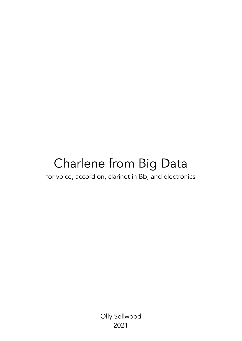# Charlene from Big Data

for voice, accordion, clarinet in Bb, and electronics

Olly Sellwood 2021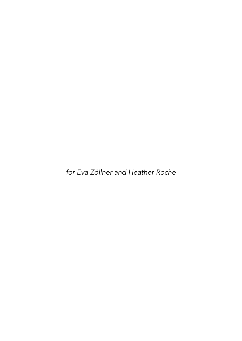for Eva Zöllner and Heather Roche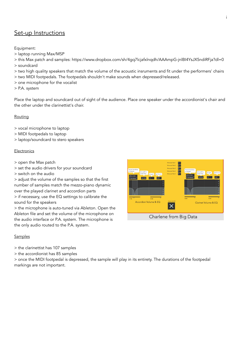## Set-up Instructions

Equipment:

- > laptop running Max/MSP
- > this Max patch and samples: https://www.dropbox.com/sh/4gq7lcjafxlnqdh/AAAmpG-jnlBI4YsJX5ndiRFja?dl=0
- > soundcard
- > two high quality speakers that match the volume of the acoustic insruments and fit under the performers' chairs
- > two MIDI footpedals. The footpedals shouldn't make sounds when depressed/released.
- > one microphone for the vocalist
- > P.A. system

Place the laptop and soundcard out of sight of the audience. Place one speaker under the accordionist's chair and the other under the clarinettist's chair.

#### **Routing**

- > vocal microphone to laptop
- > MIDI footpedals to laptop
- > laptop/soundcard to stero speakers

#### **Electronics**

- > open the Max patch
- > set the audio drivers for your soundcard
- > switch on the audio

> adjust the volume of the samples so that the first number of samples match the mezzo-piano dynamic over the played clarinet and accordion parts

> if necessary, use the EQ settings to calibrate the sound for the speakers

> the microphone is auto-tuned via Ableton. Open the Ableton file and set the volume of the microphone on the audio interface or P.A. system. The microphone is the only audio routed to the P.A. system.

#### **Samples**

> the clarinettist has 107 samples

> the accordionist has 85 samples

> once the MIDI footpedal is depressed, the sample will play in its entirety. The durations of the footpedal markings are not important.

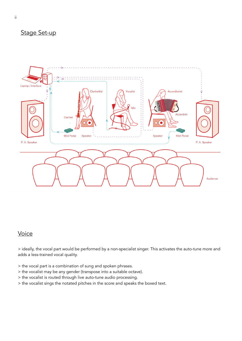# Stage Set-up



## Voice

> ideally, the vocal part would be performed by a non-specialist singer. This activates the auto-tune more and adds a less-trained vocal quality.

- > the vocal part is a combination of sung and spoken phrases.
- > the vocalist may be any gender (transpose into a suitable octave).
- > the vocalist is routed through live auto-tune audio processing.
- > the vocalist sings the notated pitches in the score and speaks the boxed text.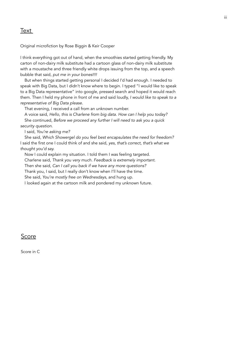### Text

Original microfiction by Rose Biggin & Keir Cooper

I think everything got out of hand, when the smoothies started getting friendly. My carton of non-dairy milk substitute had a cartoon glass of non-dairy milk substitute with a moustache and three friendly white drops issuing from the top, and a speech bubble that said, put me in your bones!!!!

But when things started getting personal I decided I'd had enough. I needed to speak with Big Data, but I didn't know where to begin. I typed "I would like to speak to a Big Data representative" into google, pressed search and hoped it would reach them. Then I held my phone in front of me and said loudly, I would like to speak to a representative of Big Data please.

That evening, I received a call from an unknown number.

A voice said, Hello, this is Charlene from big data. How can I help you today? She continued, Before we proceed any further I will need to ask you a quick security question.

I said, You're asking me?

She said, Which Showergel do you feel best encapsulates the need for freedom? I said the first one I could think of and she said, yes, that's correct, that's what we thought you'd say.

Now I could explain my situation. I told them I was feeling targeted.

Charlene said, Thank you very much. Feedback is extremely important.

Then she said, Can I call you back if we have any more questions?

Thank you, I said, but I really don't know when I'll have the time.

She said, You're mostly free on Wednesdays, and hung up.

I looked again at the cartoon milk and pondered my unknown future.

## Score

Score in C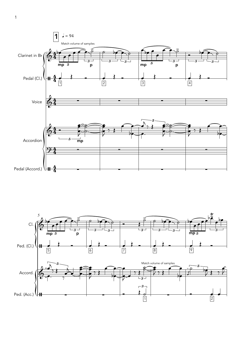

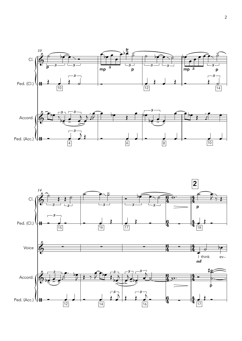

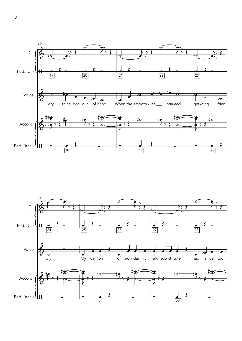

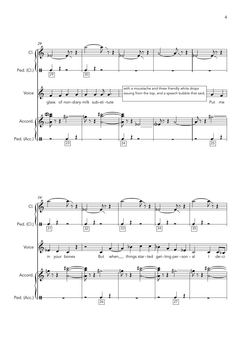

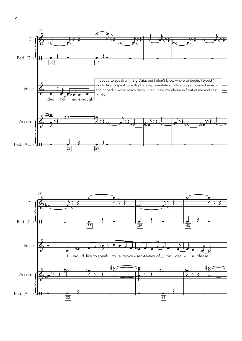

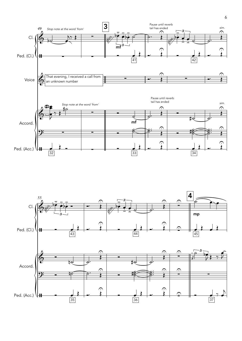

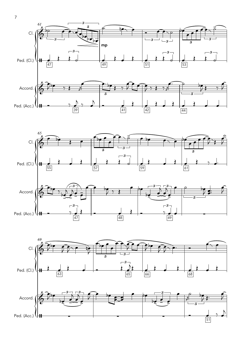

/ 39 41 42 44





Ped. (Acc.)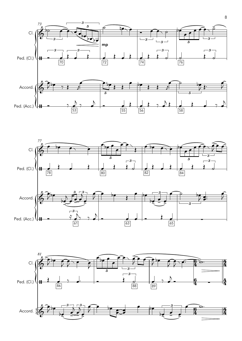

/ 53 55 56 58

Ped. (Acc.) **\H** 



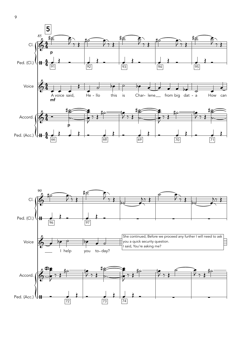

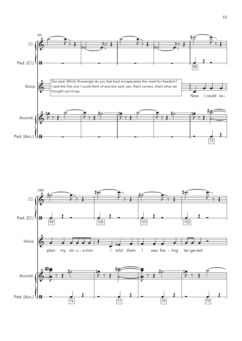